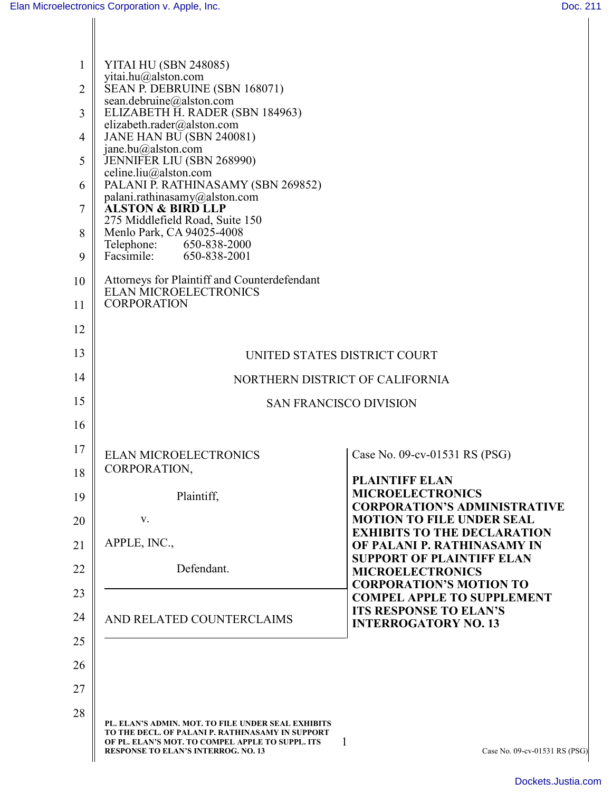| $\mathbf{1}$ | <b>YITAI HU (SBN 248085)</b>                                                                                                                                                                      |                                                                                                       |
|--------------|---------------------------------------------------------------------------------------------------------------------------------------------------------------------------------------------------|-------------------------------------------------------------------------------------------------------|
| 2            | yitai.hu@alston.com<br>SEAN P. DEBRUINE (SBN 168071)                                                                                                                                              |                                                                                                       |
| 3            | sean.debruine@alston.com<br>ELIZABETH H. RADER (SBN 184963)                                                                                                                                       |                                                                                                       |
| 4            | elizabeth.rader@alston.com<br><b>JANE HAN BU (SBN 240081)</b>                                                                                                                                     |                                                                                                       |
| 5            | jane.bu@alston.com<br>JENNIFER LIU (SBN 268990)                                                                                                                                                   |                                                                                                       |
| 6            | celine.liu@alston.com<br>PALANI P. RATHINASAMY (SBN 269852)                                                                                                                                       |                                                                                                       |
| 7            | palani.rathinasamy@alston.com<br><b>ALSTON &amp; BIRD LLP</b>                                                                                                                                     |                                                                                                       |
| 8            | 275 Middlefield Road, Suite 150<br>Menlo Park, CA 94025-4008                                                                                                                                      |                                                                                                       |
| 9            | Telephone:<br>650-838-2000<br>Facsimile:<br>650-838-2001                                                                                                                                          |                                                                                                       |
| 10           | Attorneys for Plaintiff and Counterdefendant<br><b>ELAN MICROELECTRONICS</b>                                                                                                                      |                                                                                                       |
| 11           | <b>CORPORATION</b>                                                                                                                                                                                |                                                                                                       |
| 12           |                                                                                                                                                                                                   |                                                                                                       |
| 13           | UNITED STATES DISTRICT COURT                                                                                                                                                                      |                                                                                                       |
| 14           | NORTHERN DISTRICT OF CALIFORNIA                                                                                                                                                                   |                                                                                                       |
| 15           | <b>SAN FRANCISCO DIVISION</b>                                                                                                                                                                     |                                                                                                       |
| 16           |                                                                                                                                                                                                   |                                                                                                       |
| 17<br>18     | <b>ELAN MICROELECTRONICS</b><br>CORPORATION,                                                                                                                                                      | Case No. 09-cv-01531 RS (PSG)                                                                         |
| 19           | Plaintiff,                                                                                                                                                                                        | <b>PLAINTIFF ELAN</b><br><b>MICROELECTRONICS</b>                                                      |
| 20           | V.                                                                                                                                                                                                | <b>CORPORATION'S ADMINISTRATIVE</b><br><b>MOTION TO FILE UNDER SEAL</b>                               |
| 21           | APPLE, INC.,                                                                                                                                                                                      | <b>EXHIBITS TO THE DECLARATION</b><br>OF PALANI P. RATHINASAMY IN<br><b>SUPPORT OF PLAINTIFF ELAN</b> |
| 22           | Defendant.                                                                                                                                                                                        | <b>MICROELECTRONICS</b>                                                                               |
| 23           |                                                                                                                                                                                                   | <b>CORPORATION'S MOTION TO</b><br><b>COMPEL APPLE TO SUPPLEMENT</b>                                   |
| 24           | AND RELATED COUNTERCLAIMS                                                                                                                                                                         | <b>ITS RESPONSE TO ELAN'S</b><br><b>INTERROGATORY NO. 13</b>                                          |
| 25           |                                                                                                                                                                                                   |                                                                                                       |
| 26           |                                                                                                                                                                                                   |                                                                                                       |
| 27           |                                                                                                                                                                                                   |                                                                                                       |
| 28           | PL. ELAN'S ADMIN. MOT. TO FILE UNDER SEAL EXHIBITS<br>TO THE DECL, OF PALANI P. RATHINASAMY IN SUPPORT<br>OF PL. ELAN'S MOT. TO COMPEL APPLE TO SUPPL. ITS<br>RESPONSE TO ELAN'S INTERROG. NO. 13 | 1<br>Case No. 09-cv-01531 RS (PSG)                                                                    |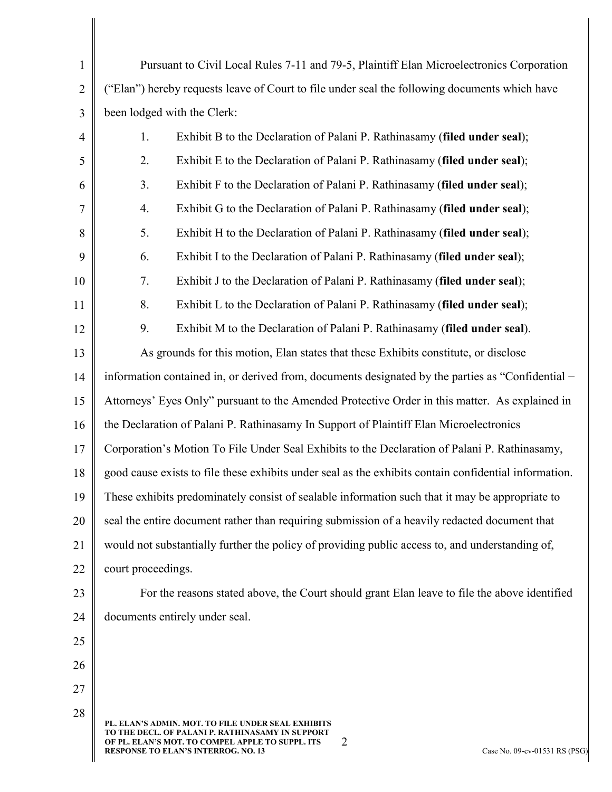| $\mathbf{1}$   | Pursuant to Civil Local Rules 7-11 and 79-5, Plaintiff Elan Microelectronics Corporation                                                                                                                                                       |  |  |
|----------------|------------------------------------------------------------------------------------------------------------------------------------------------------------------------------------------------------------------------------------------------|--|--|
| $\overline{2}$ | ("Elan") hereby requests leave of Court to file under seal the following documents which have                                                                                                                                                  |  |  |
| 3              | been lodged with the Clerk:                                                                                                                                                                                                                    |  |  |
| $\overline{4}$ | Exhibit B to the Declaration of Palani P. Rathinasamy (filed under seal);<br>1.                                                                                                                                                                |  |  |
| 5              | Exhibit E to the Declaration of Palani P. Rathinasamy (filed under seal);<br>2.                                                                                                                                                                |  |  |
| 6              | 3.<br>Exhibit F to the Declaration of Palani P. Rathinasamy (filed under seal);                                                                                                                                                                |  |  |
| $\tau$         | Exhibit G to the Declaration of Palani P. Rathinasamy (filed under seal);<br>4.                                                                                                                                                                |  |  |
| 8              | Exhibit H to the Declaration of Palani P. Rathinasamy (filed under seal);<br>5.                                                                                                                                                                |  |  |
| 9              | Exhibit I to the Declaration of Palani P. Rathinasamy (filed under seal);<br>6.                                                                                                                                                                |  |  |
| 10             | 7.<br>Exhibit J to the Declaration of Palani P. Rathinasamy (filed under seal);                                                                                                                                                                |  |  |
| 11             | 8.<br>Exhibit L to the Declaration of Palani P. Rathinasamy (filed under seal);                                                                                                                                                                |  |  |
| 12             | 9.<br>Exhibit M to the Declaration of Palani P. Rathinasamy (filed under seal).                                                                                                                                                                |  |  |
| 13             | As grounds for this motion, Elan states that these Exhibits constitute, or disclose                                                                                                                                                            |  |  |
| 14             | information contained in, or derived from, documents designated by the parties as "Confidential -                                                                                                                                              |  |  |
| 15             | Attorneys' Eyes Only" pursuant to the Amended Protective Order in this matter. As explained in                                                                                                                                                 |  |  |
| 16             | the Declaration of Palani P. Rathinasamy In Support of Plaintiff Elan Microelectronics                                                                                                                                                         |  |  |
| 17             | Corporation's Motion To File Under Seal Exhibits to the Declaration of Palani P. Rathinasamy,                                                                                                                                                  |  |  |
| 18             | good cause exists to file these exhibits under seal as the exhibits contain confidential information.                                                                                                                                          |  |  |
| 19             | These exhibits predominately consist of sealable information such that it may be appropriate to                                                                                                                                                |  |  |
| 20             | seal the entire document rather than requiring submission of a heavily redacted document that                                                                                                                                                  |  |  |
| 21             | would not substantially further the policy of providing public access to, and understanding of,                                                                                                                                                |  |  |
| 22             | court proceedings.                                                                                                                                                                                                                             |  |  |
| 23             | For the reasons stated above, the Court should grant Elan leave to file the above identified                                                                                                                                                   |  |  |
| 24             | documents entirely under seal.                                                                                                                                                                                                                 |  |  |
| 25             |                                                                                                                                                                                                                                                |  |  |
| 26             |                                                                                                                                                                                                                                                |  |  |
| 27             |                                                                                                                                                                                                                                                |  |  |
| 28             | PL. ELAN'S ADMIN. MOT. TO FILE UNDER SEAL EXHIBITS<br>TO THE DECL. OF PALANI P. RATHINASAMY IN SUPPORT<br>2<br>OF PL. ELAN'S MOT. TO COMPEL APPLE TO SUPPL. ITS<br><b>RESPONSE TO ELAN'S INTERROG. NO. 13</b><br>Case No. 09-cv-01531 RS (PSG) |  |  |